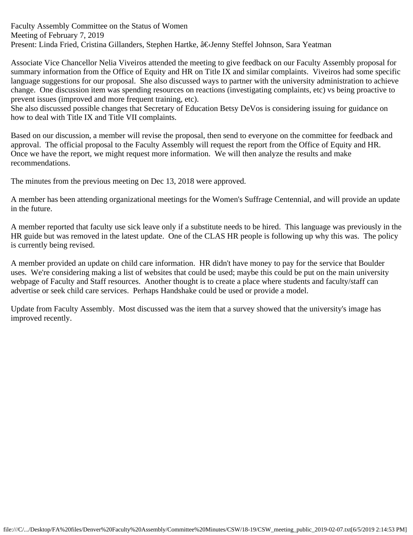Faculty Assembly Committee on the Status of Women Meeting of February 7, 2019 Present: Linda Fried, Cristina Gillanders, Stephen Hartke, â€Jenny Steffel Johnson, Sara Yeatman

Associate Vice Chancellor Nelia Viveiros attended the meeting to give feedback on our Faculty Assembly proposal for summary information from the Office of Equity and HR on Title IX and similar complaints. Viveiros had some specific language suggestions for our proposal. She also discussed ways to partner with the university administration to achieve change. One discussion item was spending resources on reactions (investigating complaints, etc) vs being proactive to prevent issues (improved and more frequent training, etc).

She also discussed possible changes that Secretary of Education Betsy DeVos is considering issuing for guidance on how to deal with Title IX and Title VII complaints.

Based on our discussion, a member will revise the proposal, then send to everyone on the committee for feedback and approval. The official proposal to the Faculty Assembly will request the report from the Office of Equity and HR. Once we have the report, we might request more information. We will then analyze the results and make recommendations.

The minutes from the previous meeting on Dec 13, 2018 were approved.

A member has been attending organizational meetings for the Women's Suffrage Centennial, and will provide an update in the future.

A member reported that faculty use sick leave only if a substitute needs to be hired. This language was previously in the HR guide but was removed in the latest update. One of the CLAS HR people is following up why this was. The policy is currently being revised.

A member provided an update on child care information. HR didn't have money to pay for the service that Boulder uses. We're considering making a list of websites that could be used; maybe this could be put on the main university webpage of Faculty and Staff resources. Another thought is to create a place where students and faculty/staff can advertise or seek child care services. Perhaps Handshake could be used or provide a model.

Update from Faculty Assembly. Most discussed was the item that a survey showed that the university's image has improved recently.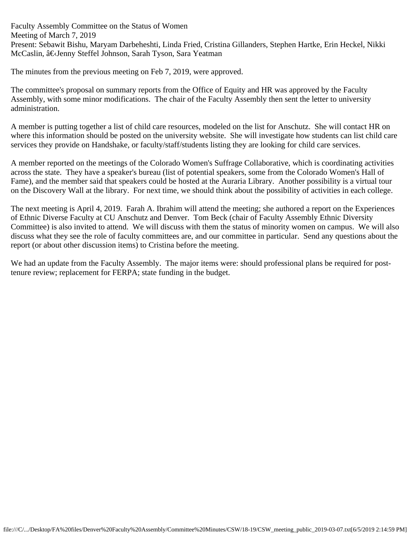Faculty Assembly Committee on the Status of Women Meeting of March 7, 2019 Present: Sebawit Bishu, Maryam Darbeheshti, Linda Fried, Cristina Gillanders, Stephen Hartke, Erin Heckel, Nikki McCaslin, â€Jenny Steffel Johnson, Sarah Tyson, Sara Yeatman

The minutes from the previous meeting on Feb 7, 2019, were approved.

The committee's proposal on summary reports from the Office of Equity and HR was approved by the Faculty Assembly, with some minor modifications. The chair of the Faculty Assembly then sent the letter to university administration.

A member is putting together a list of child care resources, modeled on the list for Anschutz. She will contact HR on where this information should be posted on the university website. She will investigate how students can list child care services they provide on Handshake, or faculty/staff/students listing they are looking for child care services.

A member reported on the meetings of the Colorado Women's Suffrage Collaborative, which is coordinating activities across the state. They have a speaker's bureau (list of potential speakers, some from the Colorado Women's Hall of Fame), and the member said that speakers could be hosted at the Auraria Library. Another possibility is a virtual tour on the Discovery Wall at the library. For next time, we should think about the possibility of activities in each college.

The next meeting is April 4, 2019. Farah A. Ibrahim will attend the meeting; she authored a report on the Experiences of Ethnic Diverse Faculty at CU Anschutz and Denver. Tom Beck (chair of Faculty Assembly Ethnic Diversity Committee) is also invited to attend. We will discuss with them the status of minority women on campus. We will also discuss what they see the role of faculty committees are, and our committee in particular. Send any questions about the report (or about other discussion items) to Cristina before the meeting.

We had an update from the Faculty Assembly. The major items were: should professional plans be required for posttenure review; replacement for FERPA; state funding in the budget.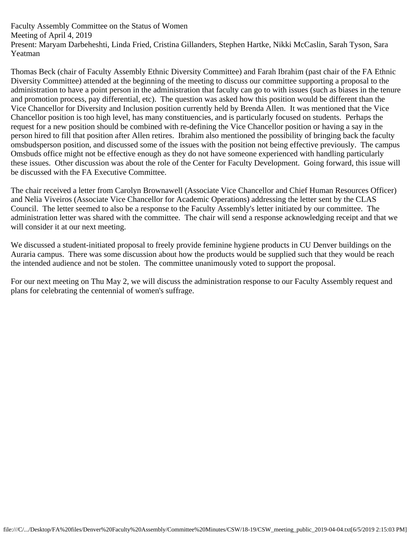Faculty Assembly Committee on the Status of Women Meeting of April 4, 2019 Present: Maryam Darbeheshti, Linda Fried, Cristina Gillanders, Stephen Hartke, Nikki McCaslin, Sarah Tyson, Sara Yeatman

Thomas Beck (chair of Faculty Assembly Ethnic Diversity Committee) and Farah Ibrahim (past chair of the FA Ethnic Diversity Committee) attended at the beginning of the meeting to discuss our committee supporting a proposal to the administration to have a point person in the administration that faculty can go to with issues (such as biases in the tenure and promotion process, pay differential, etc). The question was asked how this position would be different than the Vice Chancellor for Diversity and Inclusion position currently held by Brenda Allen. It was mentioned that the Vice Chancellor position is too high level, has many constituencies, and is particularly focused on students. Perhaps the request for a new position should be combined with re-defining the Vice Chancellor position or having a say in the person hired to fill that position after Allen retires. Ibrahim also mentioned the possibility of bringing back the faculty omsbudsperson position, and discussed some of the issues with the position not being effective previously. The campus Omsbuds office might not be effective enough as they do not have someone experienced with handling particularly these issues. Other discussion was about the role of the Center for Faculty Development. Going forward, this issue will be discussed with the FA Executive Committee.

The chair received a letter from Carolyn Brownawell (Associate Vice Chancellor and Chief Human Resources Officer) and Nelia Viveiros (Associate Vice Chancellor for Academic Operations) addressing the letter sent by the CLAS Council. The letter seemed to also be a response to the Faculty Assembly's letter initiated by our committee. The administration letter was shared with the committee. The chair will send a response acknowledging receipt and that we will consider it at our next meeting.

We discussed a student-initiated proposal to freely provide feminine hygiene products in CU Denver buildings on the Auraria campus. There was some discussion about how the products would be supplied such that they would be reach the intended audience and not be stolen. The committee unanimously voted to support the proposal.

For our next meeting on Thu May 2, we will discuss the administration response to our Faculty Assembly request and plans for celebrating the centennial of women's suffrage.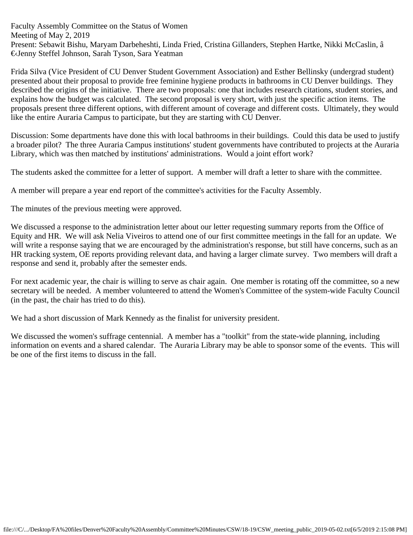Faculty Assembly Committee on the Status of Women Meeting of May 2, 2019 Present: Sebawit Bishu, Maryam Darbeheshti, Linda Fried, Cristina Gillanders, Stephen Hartke, Nikki McCaslin, â €Jenny Steffel Johnson, Sarah Tyson, Sara Yeatman

Frida Silva (Vice President of CU Denver Student Government Association) and Esther Bellinsky (undergrad student) presented about their proposal to provide free feminine hygiene products in bathrooms in CU Denver buildings. They described the origins of the initiative. There are two proposals: one that includes research citations, student stories, and explains how the budget was calculated. The second proposal is very short, with just the specific action items. The proposals present three different options, with different amount of coverage and different costs. Ultimately, they would like the entire Auraria Campus to participate, but they are starting with CU Denver.

Discussion: Some departments have done this with local bathrooms in their buildings. Could this data be used to justify a broader pilot? The three Auraria Campus institutions' student governments have contributed to projects at the Auraria Library, which was then matched by institutions' administrations. Would a joint effort work?

The students asked the committee for a letter of support. A member will draft a letter to share with the committee.

A member will prepare a year end report of the committee's activities for the Faculty Assembly.

The minutes of the previous meeting were approved.

We discussed a response to the administration letter about our letter requesting summary reports from the Office of Equity and HR. We will ask Nelia Viveiros to attend one of our first committee meetings in the fall for an update. We will write a response saying that we are encouraged by the administration's response, but still have concerns, such as an HR tracking system, OE reports providing relevant data, and having a larger climate survey. Two members will draft a response and send it, probably after the semester ends.

For next academic year, the chair is willing to serve as chair again. One member is rotating off the committee, so a new secretary will be needed. A member volunteered to attend the Women's Committee of the system-wide Faculty Council (in the past, the chair has tried to do this).

We had a short discussion of Mark Kennedy as the finalist for university president.

We discussed the women's suffrage centennial. A member has a "toolkit" from the state-wide planning, including information on events and a shared calendar. The Auraria Library may be able to sponsor some of the events. This will be one of the first items to discuss in the fall.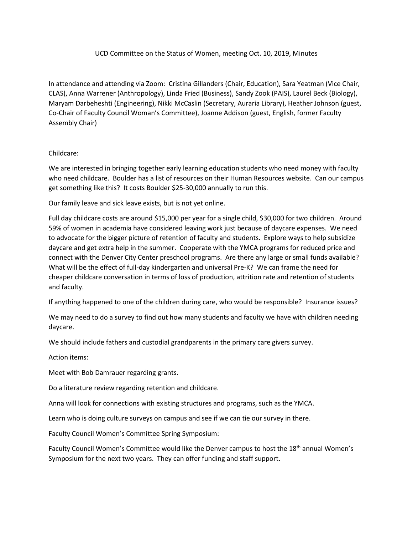## UCD Committee on the Status of Women, meeting Oct. 10, 2019, Minutes

In attendance and attending via Zoom: Cristina Gillanders (Chair, Education), Sara Yeatman (Vice Chair, CLAS), Anna Warrener (Anthropology), Linda Fried (Business), Sandy Zook (PAIS), Laurel Beck (Biology), Maryam Darbeheshti (Engineering), Nikki McCaslin (Secretary, Auraria Library), Heather Johnson (guest, Co-Chair of Faculty Council Woman's Committee), Joanne Addison (guest, English, former Faculty Assembly Chair)

## Childcare:

We are interested in bringing together early learning education students who need money with faculty who need childcare. Boulder has a list of resources on their Human Resources website. Can our campus get something like this? It costs Boulder \$25-30,000 annually to run this.

Our family leave and sick leave exists, but is not yet online.

Full day childcare costs are around \$15,000 per year for a single child, \$30,000 for two children. Around 59% of women in academia have considered leaving work just because of daycare expenses. We need to advocate for the bigger picture of retention of faculty and students. Explore ways to help subsidize daycare and get extra help in the summer. Cooperate with the YMCA programs for reduced price and connect with the Denver City Center preschool programs. Are there any large or small funds available? What will be the effect of full-day kindergarten and universal Pre-K? We can frame the need for cheaper childcare conversation in terms of loss of production, attrition rate and retention of students and faculty.

If anything happened to one of the children during care, who would be responsible? Insurance issues?

We may need to do a survey to find out how many students and faculty we have with children needing daycare.

We should include fathers and custodial grandparents in the primary care givers survey.

Action items:

Meet with Bob Damrauer regarding grants.

Do a literature review regarding retention and childcare.

Anna will look for connections with existing structures and programs, such as the YMCA.

Learn who is doing culture surveys on campus and see if we can tie our survey in there.

Faculty Council Women's Committee Spring Symposium:

Faculty Council Women's Committee would like the Denver campus to host the 18<sup>th</sup> annual Women's Symposium for the next two years. They can offer funding and staff support.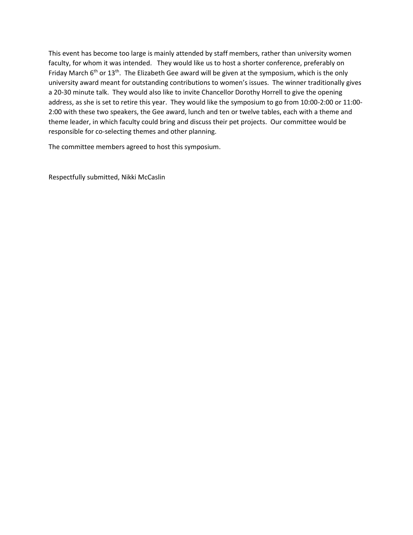This event has become too large is mainly attended by staff members, rather than university women faculty, for whom it was intended. They would like us to host a shorter conference, preferably on Friday March 6<sup>th</sup> or 13<sup>th</sup>. The Elizabeth Gee award will be given at the symposium, which is the only university award meant for outstanding contributions to women's issues. The winner traditionally gives a 20-30 minute talk. They would also like to invite Chancellor Dorothy Horrell to give the opening address, as she is set to retire this year. They would like the symposium to go from 10:00-2:00 or 11:00- 2:00 with these two speakers, the Gee award, lunch and ten or twelve tables, each with a theme and theme leader, in which faculty could bring and discuss their pet projects. Our committee would be responsible for co-selecting themes and other planning.

The committee members agreed to host this symposium.

Respectfully submitted, Nikki McCaslin